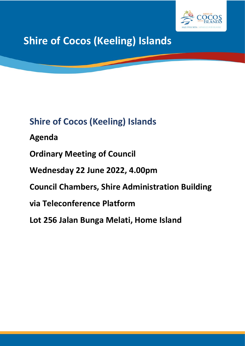

# **Shire of Cocos (Keeling) Islands**

**Shire of Cocos (Keeling) Islands Agenda Ordinary Meeting of Council Wednesday 22 June 2022, 4.00pm Council Chambers, Shire Administration Building via Teleconference Platform**

**Lot 256 Jalan Bunga Melati, Home Island**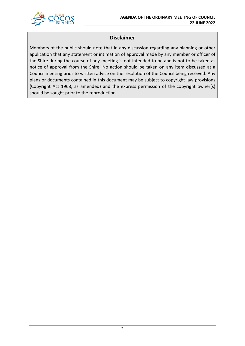

## **Disclaimer**

Members of the public should note that in any discussion regarding any planning or other application that any statement or intimation of approval made by any member or officer of the Shire during the course of any meeting is not intended to be and is not to be taken as notice of approval from the Shire. No action should be taken on any item discussed at a Council meeting prior to written advice on the resolution of the Council being received. Any plans or documents contained in this document may be subject to copyright law provisions (Copyright Act 1968, as amended) and the express permission of the copyright owner(s) should be sought prior to the reproduction.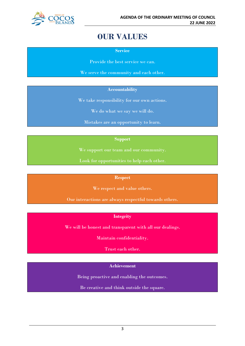

## **OUR VALUES**

**Service**

Provide the best service we can.

We serve the community and each other.

## **Accountability**

We take responsibility for our own actions.

We do what we say we will do.

Mistakes are an opportunity to learn.

## **Support**

We support our team and our community.

Look for opportunities to help each other.

## **Respect**

We respect and value others.

Our interactions are always respectful towards others.

## **Integrity**

We will be honest and transparent with all our dealings.

Maintain confidentiality.

Trust each other.

## **Achievement**

Being proactive and enabling the outcomes.

Be creative and think outside the square.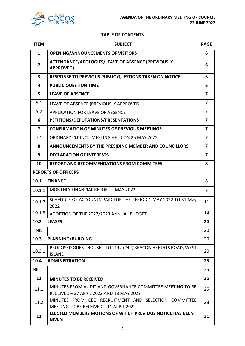## **TABLE OF CONTENTS**

| <b>ITEM</b>             | <b>SUBJECT</b>                                                                                        | <b>PAGE</b>    |
|-------------------------|-------------------------------------------------------------------------------------------------------|----------------|
| 1                       | <b>OPENING/ANNOUNCEMENTS OF VISITORS</b>                                                              | 6              |
| $\overline{2}$          | ATTENDANCE/APOLOGIES/LEAVE OF ABSENCE (PREVIOUSLY<br><b>APPROVED)</b>                                 | 6              |
| $\overline{\mathbf{3}}$ | <b>RESPONSE TO PREVIOUS PUBLIC QUESTIONS TAKEN ON NOTICE</b>                                          | 6              |
| 4                       | <b>PUBLIC QUESTION TIME</b>                                                                           | 6              |
| 5                       | <b>LEAVE OF ABSENCE</b>                                                                               | 7              |
| 5.1                     | LEAVE OF ABSENCE (PREVIOUSLY APPROVED)                                                                | $\overline{7}$ |
| 5.2                     | <b>APPLICATION FOR LEAVE OF ABSENCE</b>                                                               | 7              |
| 6                       | PETITIONS/DEPUTATIONS/PRESENTATIONS                                                                   | 7              |
| $\overline{ }$          | <b>CONFIRMATION OF MINUTES OF PREVIOUS MEETINGS</b>                                                   | 7              |
| 7.1                     | ORDINARY COUNCIL MEETING HELD ON 25 MAY 2022                                                          | $\overline{7}$ |
| 8                       | ANNOUNCEMENTS BY THE PRESIDING MEMBER AND COUNCILLORS                                                 | 7              |
| 9                       | <b>DECLARATION OF INTERESTS</b>                                                                       | 7              |
| 10                      | <b>REPORT AND RECOMMENDATIONS FROM COMMITEES</b>                                                      | 8              |
|                         | <b>REPORTS OF OFFICERS</b>                                                                            |                |
| 10.1                    | <b>FINANCE</b>                                                                                        | 8              |
| 10.1.1                  | <b>MONTHLY FINANCIAL REPORT - MAY 2022</b>                                                            | 8              |
| 10.1.2                  | SCHEDULE OF ACCOUNTS PAID FOR THE PERIOD 1 MAY 2022 TO 31 May<br>2022                                 | 11             |
| 10.1.3                  | ADOPTION OF THE 2022/2023 ANNUAL BUDGET                                                               | 14             |
| 10.2                    | <b>LEASES</b>                                                                                         | 20             |
| <b>NIL</b>              |                                                                                                       | 20             |
| 10.3                    | <b>PLANNING/BUILDING</b>                                                                              | 20             |
| 10.3.1                  | PROPOSED GUEST HOUSE - LOT 142 (#42) BEACON HEIGHTS ROAD, WEST<br><b>ISLAND</b>                       | 20             |
| 10.4                    | <b>ADMINISTRATION</b>                                                                                 | 25             |
| <b>NIL</b>              |                                                                                                       | 25             |
| 11                      | <b>MINUTES TO BE RECEIVED</b>                                                                         | 25             |
| 11.1                    | MINUTES FROM AUDIT AND GOVERNANCE COMMITTEE MEETING TO BE<br>RECEIVED - 27 APRIL 2022 AND 18 MAY 2022 | 25             |
| 11.2                    | MINUTES FROM CEO RECRUITMENT AND SELECTION COMMITTEE<br>MEETING TO BE RECEIVED - 11 APRIL 2022        | 28             |
| 12                      | <b>ELECTED MEMBERS MOTIONS OF WHICH PREVIOUS NOTICE HAS BEEN</b><br><b>GIVEN</b>                      | 31             |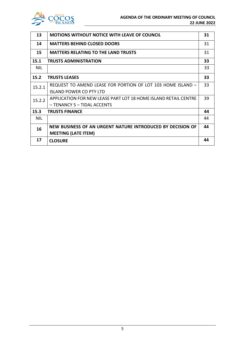

| 13         | <b>MOTIONS WITHOUT NOTICE WITH LEAVE OF COUNCIL</b>             | 31 |
|------------|-----------------------------------------------------------------|----|
| 14         | <b>MATTERS BEHIND CLOSED DOORS</b>                              | 31 |
| 15         | <b>MATTERS RELATING TO THE LAND TRUSTS</b>                      | 31 |
| 15.1       | <b>TRUSTS ADMINISTRATION</b>                                    | 33 |
| <b>NIL</b> |                                                                 | 33 |
| 15.2       | <b>TRUSTS LEASES</b>                                            | 33 |
| 15.2.1     | REQUEST TO AMEND LEASE FOR PORTION OF LOT 103 HOME ISLAND -     | 33 |
|            | <b>ISLAND POWER CO PTY LTD</b>                                  |    |
| 15.2.2     | APPLICATION FOR NEW LEASE PART LOT 18 HOME ISLAND RETAIL CENTRE | 39 |
|            | - TENANCY 5 - TIDAL ACCENTS                                     |    |
| 15.3       | <b>TRUSTS FINANCE</b>                                           | 44 |
| <b>NIL</b> |                                                                 | 44 |
| 16         | NEW BUSINESS OF AN URGENT NATURE INTRODUCED BY DECISION OF      | 44 |
|            | <b>MEETING (LATE ITEM)</b>                                      |    |
| 17         | <b>CLOSURE</b>                                                  | 44 |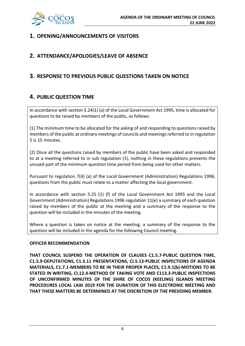

## **1. OPENING/ANNOUNCEMENTS OF VISITORS**

## **2. ATTENDANCE/APOLOGIES/LEAVE OF ABSENCE**

## **3. RESPONSE TO PREVIOUS PUBLIC QUESTIONS TAKEN ON NOTICE**

## **4. PUBLIC QUESTION TIME**

In accordance with section 5.24(1) (a) of the Local Government Act 1995, time is allocated for questions to be raised by members of the public, as follows:

(1) The minimum time to be allocated for the asking of and responding to questions raised by members of the public at ordinary meetings of councils and meetings referred to in regulation 5 is 15 minutes.

(2) Once all the questions raised by members of the public have been asked and responded to at a meeting referred to in sub regulation (1), nothing in these regulations prevents the unused part of the minimum question time period from being used for other matters.

Pursuant to regulation 7(4) (a) of the Local Government (Administration) Regulations 1996, questions from the public must relate to a matter affecting the local government.

In accordance with section 5.25 (1) (f) of the Local Government Act 1995 and the Local Government (Administration) Regulations 1996 regulation 11(e) a summary of each question raised by members of the public at the meeting and a summary of the response to the question will be included in the minutes of the meeting.

Where a question is taken on notice at the meeting, a summary of the response to the question will be included in the agenda for the following Council meeting.

## **OFFICER RECOMMENDATION**

**THAT COUNCIL SUSPEND THE OPERATION OF CLAUSES C1.5.7-PUBLIC QUESTION TIME, C1.5.9-DEPUTATIONS, C1.5.11 PRESENTATIONS, CI.5.13-PUBLIC INSPECTIONS OF AGENDA MATERIALS, C1.7.1-MEMBERS TO BE IN THEIR PROPER PLACES, C1.9.1(b)-MOTIONS TO BE STATED IN WRITING, CI.12.4-METHOD OF TAKING VOTE AND C113.3-PUBLIC INSPECTIONS OF UNCONFIRMED MINUTES OF THE SHIRE OF COCOS (KEELING) ISLANDS MEETING PROCEDURES LOCAL LAW 2019 FOR THE DURATION OF THIS ELECTRONIC MEETING AND THAT THESE MATTERS BE DETERMINED AT THE DISCRETION OF THE PRESIDING MEMBER.**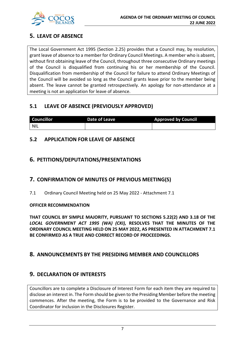

## **5. LEAVE OF ABSENCE**

The Local Government Act 1995 (Section 2.25) provides that a Council may, by resolution, grant leave of absence to a member for Ordinary Council Meetings. A member who is absent, without first obtaining leave of the Council, throughout three consecutive Ordinary meetings of the Council is disqualified from continuing his or her membership of the Council. Disqualification from membership of the Council for failure to attend Ordinary Meetings of the Council will be avoided so long as the Council grants leave prior to the member being absent. The leave cannot be granted retrospectively. An apology for non-attendance at a meeting is not an application for leave of absence.

## **5.1 LEAVE OF ABSENCE (PREVIOUSLY APPROVED)**

| <b>Councillor</b> | Date of Leave | <b>Approved by Council</b> |
|-------------------|---------------|----------------------------|
| <b>NIL</b>        |               |                            |

## **5.2 APPLICATION FOR LEAVE OF ABSENCE**

## **6. PETITIONS/DEPUTATIONS/PRESENTATIONS**

## **7. CONFIRMATION OF MINUTES OF PREVIOUS MEETING(S)**

7.1 Ordinary Council Meeting held on 25 May 2022 - Attachment 7.1

## **OFFICER RECOMMENDATION**

**THAT COUNCIL BY SIMPLE MAJORITY, PURSUANT TO SECTIONS 5.22(2) AND 3.18 OF THE**  *LOCAL GOVERNMENT ACT 1995 (WA) (CKI),* **RESOLVES THAT THE MINUTES OF THE ORDINARY COUNCIL MEETING HELD ON 25 MAY 2022, AS PRESENTED IN ATTACHMENT 7.1 BE CONFIRMED AS A TRUE AND CORRECT RECORD OF PROCEEDINGS.**

## **8. ANNOUNCEMENTS BY THE PRESIDING MEMBER AND COUNCILLORS**

## **9. DECLARATION OF INTERESTS**

Councillors are to complete a Disclosure of Interest Form for each item they are required to disclose an interest in. The Form should be given to the Presiding Member before the meeting commences. After the meeting, the Form is to be provided to the Governance and Risk Coordinator for inclusion in the Disclosures Register.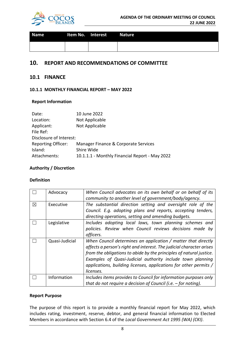

| <b>Name</b> | Item No. Interest Nature |  |
|-------------|--------------------------|--|
|             |                          |  |

## **10. REPORT AND RECOMMENDATIONS OF COMMITTEE**

## **10.1 FINANCE**

## **10.1.1 MONTHLY FINANCIAL REPORT – MAY 2022**

## **Report Information**

| Date:                     | 10 June 2022                                   |
|---------------------------|------------------------------------------------|
| Location:                 | Not Applicable                                 |
| Applicant:                | Not Applicable                                 |
| File Ref:                 |                                                |
| Disclosure of Interest:   |                                                |
| <b>Reporting Officer:</b> | Manager Finance & Corporate Services           |
| Island:                   | Shire Wide                                     |
| Attachments:              | 10.1.1.1 - Monthly Financial Report - May 2022 |

## **Authority / Discretion**

## **Definition**

|   | Advocacy       | When Council advocates on its own behalf or on behalf of its<br>community to another level of government/body/agency.                                                                                                                                                                                                                                        |
|---|----------------|--------------------------------------------------------------------------------------------------------------------------------------------------------------------------------------------------------------------------------------------------------------------------------------------------------------------------------------------------------------|
| ⊠ | Executive      | The substantial direction setting and oversight role of the<br>Council. E.g. adopting plans and reports, accepting tenders,<br>directing operations, setting and amending budgets.                                                                                                                                                                           |
|   | Legislative    | Includes adopting local laws, town planning schemes and<br>policies. Review when Council reviews decisions made by<br>officers.                                                                                                                                                                                                                              |
|   | Quasi-Judicial | When Council determines an application / matter that directly<br>affects a person's right and interest. The judicial character arises<br>from the obligations to abide by the principles of natural justice.<br>Examples of Quasi-Judicial authority include town planning<br>applications, building licenses, applications for other permits /<br>licenses. |
|   | Information    | Includes items provides to Council for information purposes only<br>that do not require a decision of Council (i.e. $-$ for noting).                                                                                                                                                                                                                         |

## **Report Purpose**

The purpose of this report is to provide a monthly financial report for May 2022, which includes rating, investment, reserve, debtor, and general financial information to Elected Members in accordance with Section 6.4 of the *Local Government Act 1995 (WA) (CKI)*.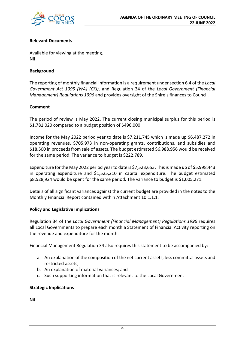

## **Relevant Documents**

Available for viewing at the meeting. Nil

## **Background**

The reporting of monthly financial information is a requirement under section 6.4 of the *Local Government Act 1995 (WA) (CKI)*, and Regulation 34 of the *Local Government (Financial Management) Regulations 1996* and provides oversight of the Shire's finances to Council.

## **Comment**

The period of review is May 2022. The current closing municipal surplus for this period is \$1,781,020 compared to a budget position of \$496,000.

Income for the May 2022 period year to date is \$7,211,745 which is made up \$6,487,272 in operating revenues, \$705,973 in non-operating grants, contributions, and subsidies and \$18,500 in proceeds from sale of assets. The budget estimated \$6,988,956 would be received for the same period. The variance to budget is \$222,789.

Expenditure for the May 2022 period year to date is \$7,523,653. This is made up of \$5,998,443 in operating expenditure and \$1,525,210 in capital expenditure. The budget estimated \$8,528,924 would be spent for the same period. The variance to budget is \$1,005,271.

Details of all significant variances against the current budget are provided in the notes to the Monthly Financial Report contained within Attachment 10.1.1.1.

## **Policy and Legislative Implications**

Regulation 34 of the *Local Government (Financial Management) Regulations 1996* requires all Local Governments to prepare each month a Statement of Financial Activity reporting on the revenue and expenditure for the month.

Financial Management Regulation 34 also requires this statement to be accompanied by:

- a. An explanation of the composition of the net current assets, less committal assets and restricted assets;
- b. An explanation of material variances; and
- c. Such supporting information that is relevant to the Local Government

## **Strategic Implications**

Nil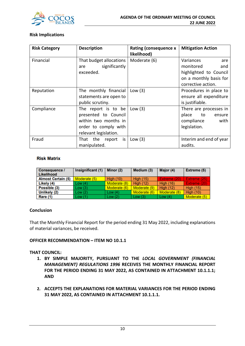

## **Risk Implications**

| <b>Risk Category</b> | <b>Description</b>                                                                                                   | <b>Rating (consequence x</b><br>likelihood) | <b>Mitigation Action</b>                                                                  |
|----------------------|----------------------------------------------------------------------------------------------------------------------|---------------------------------------------|-------------------------------------------------------------------------------------------|
| Financial            | That budget allocations<br>significantly<br>are<br>exceeded.                                                         | Moderate (6)                                | Variances<br>are<br>monitored<br>and<br>highlighted to Council<br>on a monthly basis for  |
| Reputation           | The monthly financial<br>statements are open to<br>public scrutiny.                                                  | Low $(3)$                                   | corrective action.<br>Procedures in place to<br>ensure all expenditure<br>is justifiable. |
| Compliance           | The report is to be<br>presented to Council<br>within two months in<br>order to comply with<br>relevant legislation. | Low $(3)$                                   | There are processes in<br>place<br>to<br>ensure<br>compliance<br>with<br>legislation.     |
| Fraud                | That the report is<br>manipulated.                                                                                   | Low $(3)$                                   | Interim and end of year<br>audits.                                                        |

## **Risk Matrix**

| <b>Consequence /</b><br>Likelihood | Insignificant (1) | Minor (2)    | Medium (3)       | Major (4)        | Extreme (5)      |
|------------------------------------|-------------------|--------------|------------------|------------------|------------------|
| <b>Almost Certain (5)</b>          | Moderate (5)      | High $(10)$  | <b>High (15)</b> | Extreme (20)     | Extreme (25)     |
| Likely (4)                         | Low(4)            | Moderate (8) | <b>High (12)</b> | <b>High (16)</b> | Extreme (20)     |
| Possible (3)                       | Low(3)            | Moderate (6) | Moderate (9)     | <b>High (12)</b> | <b>High (15)</b> |
| Unlikely (2)                       | Low(2)            | Low $(4)$    | Moderate (6)     | Moderate (8)     | <b>High (10)</b> |
| Rare (1)                           | Low(1)            | Low $(2)$    | Low $(3)$        | Low $(4)$        | Moderate (5)     |

## **Conclusion**

That the Monthly Financial Report for the period ending 31 May 2022, including explanations of material variances, be received.

## **OFFICER RECOMMENDATION – ITEM NO 10.1.1**

## **THAT COUNCIL:**

- **1. BY SIMPLE MAJORITY, PURSUANT TO THE** *LOCAL GOVERNMENT (FINANCIAL MANAGEMENT) REGULATIONS 1996* **RECEIVES THE MONTHLY FINANCIAL REPORT FOR THE PERIOD ENDING 31 MAY 2022, AS CONTAINED IN ATTACHMENT 10.1.1.1; AND**
- **2. ACCEPTS THE EXPLANATIONS FOR MATERIAL VARIANCES FOR THE PERIOD ENDING 31 MAY 2022, AS CONTAINED IN ATTACHMENT 10.1.1.1.**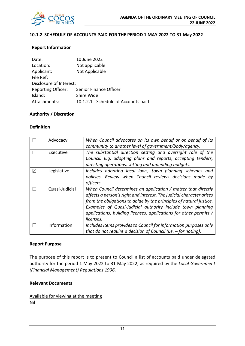

## **10.1.2 SCHEDULE OF ACCOUNTS PAID FOR THE PERIOD 1 MAY 2022 TO 31 May 2022**

## **Report Information**

| Date:                     | 10 June 2022                         |
|---------------------------|--------------------------------------|
| Location:                 | Not applicable                       |
| Applicant:                | Not Applicable                       |
| File Ref:                 |                                      |
| Disclosure of Interest:   |                                      |
| <b>Reporting Officer:</b> | Senior Finance Officer               |
| Island:                   | Shire Wide                           |
| Attachments:              | 10.1.2.1 - Schedule of Accounts paid |

#### **Authority / Discretion**

#### **Definition**

|             | Advocacy       | When Council advocates on its own behalf or on behalf of its<br>community to another level of government/body/agency.                                                                                                                                                                                                                                        |
|-------------|----------------|--------------------------------------------------------------------------------------------------------------------------------------------------------------------------------------------------------------------------------------------------------------------------------------------------------------------------------------------------------------|
|             | Executive      | The substantial direction setting and oversight role of the<br>Council. E.g. adopting plans and reports, accepting tenders,<br>directing operations, setting and amending budgets.                                                                                                                                                                           |
| $\boxtimes$ | Legislative    | Includes adopting local laws, town planning schemes and<br>policies. Review when Council reviews decisions made by<br>officers.                                                                                                                                                                                                                              |
|             | Quasi-Judicial | When Council determines an application / matter that directly<br>affects a person's right and interest. The judicial character arises<br>from the obligations to abide by the principles of natural justice.<br>Examples of Quasi-Judicial authority include town planning<br>applications, building licenses, applications for other permits /<br>licenses. |
|             | Information    | Includes items provides to Council for information purposes only<br>that do not require a decision of Council (i.e. $-$ for noting).                                                                                                                                                                                                                         |

#### **Report Purpose**

The purpose of this report is to present to Council a list of accounts paid under delegated authority for the period 1 May 2022 to 31 May 2022, as required by the *Local Government (Financial Management) Regulations 1996*.

## **Relevant Documents**

Available for viewing at the meeting Nil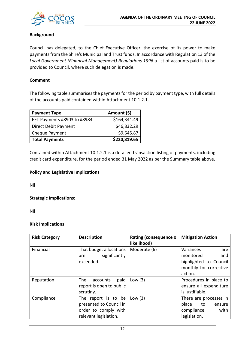

## **Background**

Council has delegated, to the Chief Executive Officer, the exercise of its power to make payments from the Shire's Municipal and Trust funds. In accordance with Regulation 13 of the *Local Government (Financial Management) Regulations 1996* a list of accounts paid is to be provided to Council, where such delegation is made.

## **Comment**

The following table summarises the payments for the period by payment type, with full details of the accounts paid contained within Attachment 10.1.2.1.

| <b>Payment Type</b>         | Amount (\$)  |
|-----------------------------|--------------|
| EFT Payments #8903 to #8984 | \$164,341.49 |
| Direct Debit Payment        | \$46,832.29  |
| Cheque Payment              | \$9,645.87   |
| <b>Total Payments</b>       | \$220,819.65 |

Contained within Attachment 10.1.2.1 is a detailed transaction listing of payments, including credit card expenditure, for the period ended 31 May 2022 as per the Summary table above.

## **Policy and Legislative Implications**

Nil

## **Strategic Implications:**

Nil

## **Risk Implications**

| <b>Risk Category</b> | <b>Description</b>                                                                              | <b>Rating (consequence x</b><br>likelihood) | <b>Mitigation Action</b>                                                                            |
|----------------------|-------------------------------------------------------------------------------------------------|---------------------------------------------|-----------------------------------------------------------------------------------------------------|
| Financial            | That budget allocations<br>significantly<br>are<br>exceeded.                                    | Moderate (6)                                | Variances<br>are<br>monitored<br>and<br>highlighted to Council<br>monthly for corrective<br>action. |
| Reputation           | The<br>paid<br>accounts<br>report is open to public<br>scrutiny.                                | Low $(3)$                                   | Procedures in place to<br>ensure all expenditure<br>is justifiable.                                 |
| Compliance           | The report is to be<br>presented to Council in<br>order to comply with<br>relevant legislation. | Low $(3)$                                   | There are processes in<br>place<br>to to<br>ensure<br>compliance<br>with<br>legislation.            |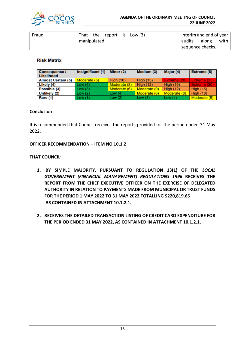

| Fraud | That the report is $\vert$ Low (3) |  |  | Interim and end of year |       |      |
|-------|------------------------------------|--|--|-------------------------|-------|------|
|       | manipulated.                       |  |  | audits                  | along | with |
|       |                                    |  |  | sequence checks.        |       |      |

## **Risk Matrix**

| <b>Consequence /</b><br>Likelihood | Insignificant (1) | Minor (2)        | Medium (3)       | Major (4)        | Extreme (5)      |
|------------------------------------|-------------------|------------------|------------------|------------------|------------------|
| <b>Almost Certain (5)</b>          | Moderate (5)      | <b>High (10)</b> | <b>High (15)</b> | Extreme (20)     | Extreme (25)     |
| Likely (4)                         | Low (4)           | Moderate (8)     | <b>High (12)</b> | <b>High (16)</b> | Extreme (20)     |
| Possible (3)                       | Low (3)           | Moderate (6)     | Moderate (9)     | <b>High (12)</b> | <b>High (15)</b> |
| Unlikely (2)                       | Low (2)           | Low $(4)$        | Moderate (6)     | Moderate (8)     | High $(10)$      |
| <b>Rare (1)</b>                    | Low (1)           | Low(2)           | Low(3)           | Low $(4)$        | Moderate (5)     |

## **Conclusion**

It is recommended that Council receives the reports provided for the period ended 31 May 2022.

## **OFFICER RECOMMENDATION – ITEM NO 10.1.2**

## **THAT COUNCIL:**

- **1. BY SIMPLE MAJORITY, PURSUANT TO REGULATION 13(1) OF THE** *LOCAL GOVERNMENT (FINANCIAL MANAGEMENT) REGULATIONS 1996* **RECEIVES THE REPORT FROM THE CHIEF EXECUTIVE OFFICER ON THE EXERCISE OF DELEGATED AUTHORITY IN RELATION TO PAYMENTS MADE FROM MUNICIPAL OR TRUST FUNDS FOR THE PERIOD 1 MAY 2022 TO 31 MAY 2022 TOTALLING \$220,819.65 AS CONTAINED IN ATTACHMENT 10.1.2.1.**
- **2. RECEIVES THE DETAILED TRANSACTION LISTING OF CREDIT CARD EXPENDITURE FOR THE PERIOD ENDED 31 MAY 2022, AS CONTAINED IN ATTACHMENT 10.1.2.1.**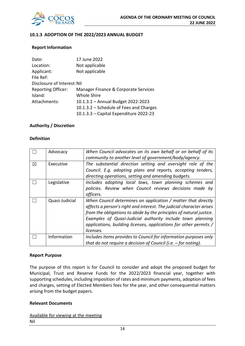

## **10.1.3 ADOPTION OF THE 2022/2023 ANNUAL BUDGET**

## **Report Information**

| 17 June 2022                            |
|-----------------------------------------|
| Not applicable                          |
| Not applicable                          |
|                                         |
| Disclosure of Interest: Nil             |
| Manager Finance & Corporate Services    |
| <b>Whole Shire</b>                      |
| 10.1.3.1 - Annual Budget 2022-2023      |
| 10.1.3.2 - Schedule of Fees and Charges |
| 10.1.3.3 - Capital Expenditure 2022-23  |
|                                         |

## **Authority / Discretion**

## **Definition**

|   | Advocacy       | When Council advocates on its own behalf or on behalf of its         |
|---|----------------|----------------------------------------------------------------------|
|   |                | community to another level of government/body/agency.                |
| X | Executive      | The substantial direction setting and oversight role of the          |
|   |                | Council. E.g. adopting plans and reports, accepting tenders,         |
|   |                | directing operations, setting and amending budgets.                  |
|   | Legislative    | Includes adopting local laws, town planning schemes and              |
|   |                | policies. Review when Council reviews decisions made by              |
|   |                | officers.                                                            |
|   | Quasi-Judicial | When Council determines an application / matter that directly        |
|   |                | affects a person's right and interest. The judicial character arises |
|   |                | from the obligations to abide by the principles of natural justice.  |
|   |                | Examples of Quasi-Judicial authority include town planning           |
|   |                | applications, building licenses, applications for other permits /    |
|   |                | licenses.                                                            |
|   | Information    | Includes items provides to Council for information purposes only     |
|   |                | that do not require a decision of Council (i.e. $-$ for noting).     |

#### **Report Purpose**

The purpose of this report is for Council to consider and adopt the proposed budget for Municipal, Trust and Reserve Funds for the 2022/2023 financial year, together with supporting schedules, including imposition of rates and minimum payments, adoption of fees and charges, setting of Elected Members fees for the year, and other consequential matters arising from the budget papers.

#### **Relevant Documents**

Available for viewing at the meeting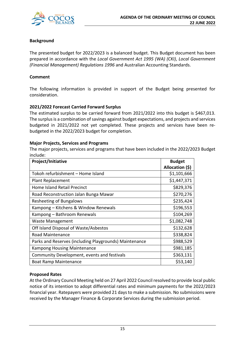

## **Background**

The presented budget for 2022/2023 is a balanced budget. This Budget document has been prepared in accordance with the *Local Government Act 1995 (WA) (CKI)*, *Local Government (Financial Management) Regulations 1996* and Australian Accounting Standards.

## **Comment**

The following information is provided in support of the Budget being presented for consideration.

## **2021/2022 Forecast Carried Forward Surplus**

The estimated surplus to be carried forward from 2021/2022 into this budget is \$467,013. The surplus is a combination of savings against budget expectations, and projects and services budgeted in 2021/2022 not yet completed. These projects and services have been rebudgeted in the 2022/2023 budget for completion.

## **Major Projects, Services and Programs**

The major projects, services and programs that have been included in the 2022/2023 Budget include:

| Project/Initiative                                     | <b>Budget</b>   |
|--------------------------------------------------------|-----------------|
|                                                        | Allocation (\$) |
| Tokoh refurbishment - Home Island                      | \$1,101,666     |
| <b>Plant Replacement</b>                               | \$1,447,371     |
| <b>Home Island Retail Precinct</b>                     | \$829,376       |
| Road Reconstruction Jalan Bunga Mawar                  | \$270,276       |
| Resheeting of Bungalows                                | \$235,424       |
| Kampong – Kitchens & Window Renewals                   | \$196,553       |
| Kampong – Bathroom Renewals                            | \$104,269       |
| Waste Management                                       | \$1,082,748     |
| Off Island Disposal of Waste/Asbestos                  | \$132,628       |
| <b>Road Maintenance</b>                                | \$338,824       |
| Parks and Reserves (including Playgrounds) Maintenance | \$988,529       |
| <b>Kampong Housing Maintenance</b>                     | \$981,185       |
| Community Development, events and festivals            | \$363,131       |
| <b>Boat Ramp Maintenance</b>                           | \$53,140        |

## **Proposed Rates**

At the Ordinary Council Meeting held on 27 April 2022 Council resolved to provide local public notice of its intention to adopt differential rates and minimum payments for the 2022/2023 financial year. Ratepayers were provided 21 days to make a submission. No submissions were received by the Manager Finance & Corporate Services during the submission period.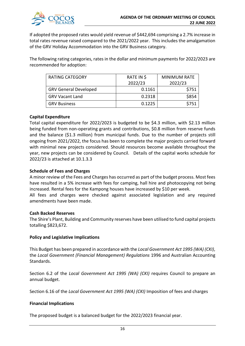

If adopted the proposed rates would yield revenue of \$442,694 comprising a 2.7% increase in total rates revenue raised compared to the 2021/2022 year. This includes the amalgamation of the GRV Holiday Accommodation into the GRV Business category.

The following rating categories, rates in the dollar and minimum payments for 2022/2023 are recommended for adoption:

| <b>RATING CATEGORY</b>       | RATE IN \$<br>2022/23 | <b>MINIMUM RATE</b><br>2022/23 |
|------------------------------|-----------------------|--------------------------------|
| <b>GRV General Developed</b> | 0.1161                | \$751                          |
| <b>GRV Vacant Land</b>       | 0.2318                | \$854                          |
| <b>GRV Business</b>          | 0.1225                | \$751                          |

## **Capital Expenditure**

Total capital expenditure for 2022/2023 is budgeted to be \$4.3 million, with \$2.13 million being funded from non-operating grants and contributions, \$0.8 million from reserve funds and the balance (\$1.3 million) from municipal funds. Due to the number of projects still ongoing from 2021/2022, the focus has been to complete the major projects carried forward with minimal new projects considered. Should resources become available throughout the year, new projects can be considered by Council. Details of the capital works schedule for 2022/23 is attached at 10.1.3.3

## **Schedule of Fees and Charges**

A minor review of the Fees and Charges has occurred as part of the budget process. Most fees have resulted in a 5% increase with fees for camping, hall hire and photocopying not being increased. Rental fees for the Kampong houses have increased by \$10 per week.

All fees and charges were checked against associated legislation and any required amendments have been made.

## **Cash Backed Reserves**

The Shire's Plant, Building and Community reserves have been utilised to fund capital projects totalling \$823,672.

## **Policy and Legislative Implications**

This Budget has been prepared in accordance with the *Local Government Act 1995 (WA) (CKI)*, the *Local Government (Financial Management) Regulations* 1996 and Australian Accounting Standards.

Section 6.2 of the *Local Government Act 1995 (WA) (CKI)* requires Council to prepare an annual budget.

Section 6.16 of the *Local Government Act 1995 (WA) (CKI)* Imposition of fees and charges

## **Financial Implications**

The proposed budget is a balanced budget for the 2022/2023 financial year.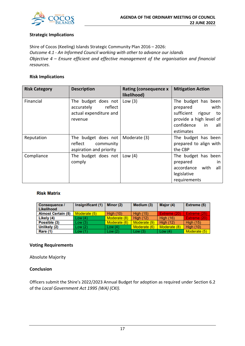

## **Strategic Implications**

Shire of Cocos (Keeling) Islands Strategic Community Plan 2016 – 2026: *Outcome 4.1 - An Informed Council working with other to advance our islands Objective 4 – Ensure efficient and effective management of the organisation and financial resources.*

## **Risk Implications**

| <b>Risk Category</b> | <b>Description</b>                                                             | <b>Rating (consequence x</b><br>likelihood) | <b>Mitigation Action</b>                                                                                                              |
|----------------------|--------------------------------------------------------------------------------|---------------------------------------------|---------------------------------------------------------------------------------------------------------------------------------------|
| Financial            | The budget does not<br>accurately reflect<br>actual expenditure and<br>revenue | Low $(3)$                                   | The budget has been<br>prepared<br>with<br>sufficient rigour<br>to<br>provide a high level of<br>confidence<br>in<br>all<br>estimates |
| Reputation           | The budget does not<br>reflect<br>community<br>aspiration and priority         | Moderate (3)                                | The budget has been<br>prepared to align with<br>the CBP                                                                              |
| Compliance           | The budget does not<br>comply                                                  | Low $(4)$                                   | The budget has been<br>prepared<br>in.<br>accordance with<br>all<br>legislative<br>requirements                                       |

## **Risk Matrix**

| <b>Consequence /</b><br>Likelihood | Insignificant (1) | Minor (2)        | Medium (3)       | Major (4)        | Extreme (5)         |
|------------------------------------|-------------------|------------------|------------------|------------------|---------------------|
| <b>Almost Certain (5)</b>          | Moderate (5)      | <b>High (10)</b> | <b>High (15)</b> | Extreme (20)     | <b>Extreme (25)</b> |
| Likely (4)                         | Low(4)            | Moderate (8)     | <b>High (12)</b> | <b>High (16)</b> | Extreme (20)        |
| Possible (3)                       | Low(3)            | Moderate (6)     | Moderate (9)     | <b>High (12)</b> | <b>High (15)</b>    |
| Unlikely (2)                       | Low(2)            | Low $(4)$        | Moderate (6)     | Moderate (8)     | <b>High (10)</b>    |
| Rare (1)                           | Low(1)            | Low(2)           | Low $(3)$        | Low $(4)$        | Moderate (5)        |

#### **Voting Requirements**

Absolute Majority

## **Conclusion**

Officers submit the Shire's 2022/2023 Annual Budget for adoption as required under Section 6.2 of the *Local Government Act 1995 (WA) (CKI).*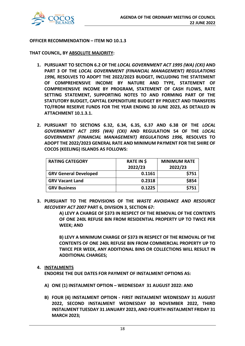

## **OFFICER RECOMMENDATION – ITEM NO 10.1.3**

**THAT COUNCIL, BY ABSOLUTE MAJORITY:**

- **1. PURSUANT TO SECTION 6.2 OF THE** *LOCAL GOVERNMENT ACT 1995 (WA) (CKI)* **AND PART 3 OF THE** *LOCAL GOVERNMENT (FINANCIAL MANAGEMENT) REGULATIONS 1996,* **RESOLVES TO ADOPT THE 2022/2023 BUDGET, INCLUDING THE STATEMENT OF COMPREHENSIVE INCOME BY NATURE AND TYPE, STATEMENT OF COMPREHENSIVE INCOME BY PROGRAM, STATEMENT OF CASH FLOWS, RATE SETTING STATEMENT, SUPPORTING NOTES TO AND FORMING PART OF THE STATUTORY BUDGET, CAPITAL EXPENDITURE BUDGET BY PROJECT AND TRANSFERS TO/FROM RESERVE FUNDS FOR THE YEAR ENDING 30 JUNE 2023, AS DETAILED IN ATTACHMENT 10.1.3.1.**
- **2. PURSUANT TO SECTIONS 6.32, 6.34, 6.35, 6.37 AND 6.38 OF THE** *LOCAL GOVERNMENT ACT 1995 (WA) (CKI)* **AND REGULATION 54 OF THE** *LOCAL GOVERNMENT (FINANCIAL MANAGEMENT) REGULATIONS 1996,* **RESOLVES TO ADOPT THE 2022/2023 GENERAL RATE AND MINIMUM PAYMENT FOR THE SHIRE OF COCOS (KEELING) ISLANDS AS FOLLOWS:**

| <b>RATING CATEGORY</b>       | RATE IN \$<br>2022/23 | <b>MINIMUM RATE</b><br>2022/23 |
|------------------------------|-----------------------|--------------------------------|
| <b>GRV General Developed</b> | 0.1161                | \$751                          |
| <b>GRV Vacant Land</b>       | 0.2318                | \$854                          |
| <b>GRV Business</b>          | 0.1225                | \$751                          |

**3. PURSUANT TO THE PROVISIONS OF THE** *WASTE AVOIDANCE AND RESOURCE RECOVERY ACT 2007* **PART 6, DIVISION 3, SECTION 67:** 

> **A) LEVY A CHARGE OF \$373 IN RESPECT OF THE REMOVAL OF THE CONTENTS OF ONE 240L REFUSE BIN FROM RESIDENTIAL PROPERTY UP TO TWICE PER WEEK; AND**

> **B) LEVY A MINIMUM CHARGE OF \$373 IN RESPECT OF THE REMOVAL OF THE CONTENTS OF ONE 240L REFUSE BIN FROM COMMERCIAL PROPERTY UP TO TWICE PER WEEK, ANY ADDITIONAL BINS OR COLLECTIONS WILL RESULT IN ADDITIONAL CHARGES;**

#### **4. INSTALMENTS**

**ENDORSE THE DUE DATES FOR PAYMENT OF INSTALMENT OPTIONS AS:**

- **A) ONE (1) INSTALMENT OPTION – WEDNESDAY 31 AUGUST 2022: AND**
- **B) FOUR (4) INSTALMENT OPTION - FIRST INSTALMENT WEDNESDAY 31 AUGUST 2022, SECOND INSTALMENT WEDNESDAY 30 NOVEMBER 2022, THIRD INSTALMENT TUESDAY 31 JANUARY 2023, AND FOURTH INSTALMENT FRIDAY 31 MARCH 2023;**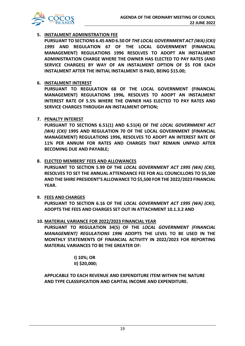

## **5. INSTALMENT ADMINISTRATION FEE**

**PURSUANT TO SECTIONS 6.45 AND 6.50 OF** *THE LOCAL GOVERNMENT ACT (WA) (CKI) 1995* **AND REGULATION 67 OF THE LOCAL GOVERNMENT (FINANCIAL MANAGEMENT) REGULATIONS 1996 RESOLVES TO ADOPT AN INSTALMENT ADMINISTRATION CHARGE WHERE THE OWNER HAS ELECTED TO PAY RATES (AND SERVICE CHARGES) BY WAY OF AN INSTALMENT OPTION OF \$5 FOR EACH INSTALMENT AFTER THE INITIAL INSTALMENT IS PAID, BEING \$15.00;**

## **6. INSTALMENT INTEREST**

**PURSUANT TO REGULATION 68 OF THE LOCAL GOVERNMENT (FINANCIAL MANAGEMENT) REGULATIONS 1996***,* **RESOLVES TO ADOPT AN INSTALMENT INTEREST RATE OF 5.5% WHERE THE OWNER HAS ELECTED TO PAY RATES AND SERVICE CHARGES THROUGH AN INSTALMENT OPTION;**

## **7. PENALTY INTEREST**

**PURSUANT TO SECTIONS 6.51(1) AND 6.51(4) OF** *THE LOCAL GOVERNMENT ACT (WA) (CKI)* **1995 AND REGULATION 70 OF THE LOCAL GOVERNMENT (FINANCIAL MANAGEMENT) REGULATIONS 1996, RESOLVES TO ADOPT AN INTEREST RATE OF 11% PER ANNUM FOR RATES AND CHARGES THAT REMAIN UNPAID AFTER BECOMING DUE AND PAYABLE;**

## **8. ELECTED MEMBERS' FEES AND ALLOWANCES**

**PURSUANT TO SECTION 5.99 OF THE** *LOCAL GOVERNMENT ACT 1995 (WA) (CKI)***, RESOLVES TO SET THE ANNUAL ATTENDANCE FEE FOR ALL COUNCILLORS TO \$5,500 AND THE SHIRE PRESIDENT'S ALLOWANCE TO \$5,500 FOR THE 2022/2023 FINANCIAL YEAR.**

## **9. FEES AND CHARGES**

**PURSUANT TO SECTION 6.16 OF THE** *LOCAL GOVERNMENT ACT 1995 (WA) (CKI)***, ADOPTS THE FEES AND CHARGES SET OUT IN ATTACHMENT 10.1.3.2 AND**

## **10. MATERIAL VARIANCE FOR 2022/2023 FINANCIAL YEAR**

**PURSUANT TO REGULATION 34(5) OF THE** *LOCAL GOVERNMENT (FINANCIAL MANAGEMENT) REGULATIONS 1996* **ADOPTS THE LEVEL TO BE USED IN THE MONTHLY STATEMENTS OF FINANCIAL ACTIVITY IN 2022/2023 FOR REPORTING MATERIAL VARIANCES TO BE THE GREATER OF:** 

> **I) 10%; OR II) \$20,000;**

**APPLICABLE TO EACH REVENUE AND EXPENDITURE ITEM WITHIN THE NATURE AND TYPE CLASSIFICATION AND CAPITAL INCOME AND EXPENDITURE.**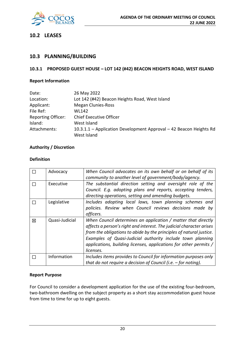

## **10.2 LEASES**

## **10.3 PLANNING/BUILDING**

## **10.3.1 PROPOSED GUEST HOUSE – LOT 142 (#42) BEACON HEIGHTS ROAD, WEST ISLAND**

## **Report Information**

| Date:                     | 26 May 2022                                                        |
|---------------------------|--------------------------------------------------------------------|
| Location:                 | Lot 142 (#42) Beacon Heights Road, West Island                     |
| Applicant:                | <b>Megan Clunies-Ross</b>                                          |
| File Ref:                 | WL142                                                              |
| <b>Reporting Officer:</b> | <b>Chief Executive Officer</b>                                     |
| Island:                   | West Island                                                        |
| Attachments:              | 10.3.1.1 - Application Development Approval - 42 Beacon Heights Rd |
|                           | West Island                                                        |

## **Authority / Discretion**

## **Definition**

|   | Advocacy       | When Council advocates on its own behalf or on behalf of its<br>community to another level of government/body/agency.                                                                                                                                                                                                                                        |
|---|----------------|--------------------------------------------------------------------------------------------------------------------------------------------------------------------------------------------------------------------------------------------------------------------------------------------------------------------------------------------------------------|
|   | Executive      | The substantial direction setting and oversight role of the<br>Council. E.g. adopting plans and reports, accepting tenders,<br>directing operations, setting and amending budgets.                                                                                                                                                                           |
|   | Legislative    | Includes adopting local laws, town planning schemes and<br>policies. Review when Council reviews decisions made by<br>officers.                                                                                                                                                                                                                              |
| 図 | Quasi-Judicial | When Council determines an application / matter that directly<br>affects a person's right and interest. The judicial character arises<br>from the obligations to abide by the principles of natural justice.<br>Examples of Quasi-Judicial authority include town planning<br>applications, building licenses, applications for other permits /<br>licenses. |
|   | Information    | Includes items provides to Council for information purposes only<br>that do not require a decision of Council (i.e. $-$ for noting).                                                                                                                                                                                                                         |

## **Report Purpose**

For Council to consider a development application for the use of the existing four-bedroom, two-bathroom dwelling on the subject property as a short stay accommodation guest house from time to time for up to eight guests.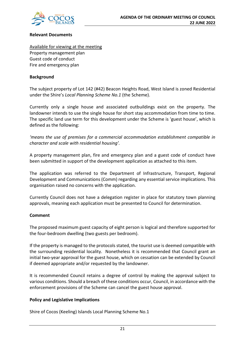

## **Relevant Documents**

Available for viewing at the meeting Property management plan Guest code of conduct Fire and emergency plan

## **Background**

The subject property of Lot 142 (#42) Beacon Heights Road, West Island is zoned Residential under the Shire's *Local Planning Scheme No.1* (the Scheme).

Currently only a single house and associated outbuildings exist on the property. The landowner intends to use the single house for short stay accommodation from time to time. The specific land use term for this development under the Scheme is 'guest house', which is defined as the following:

*'means the use of premises for a commercial accommodation establishment compatible in character and scale with residential housing'.* 

A property management plan, fire and emergency plan and a guest code of conduct have been submitted in support of the development application as attached to this item.

The application was referred to the Department of Infrastructure, Transport, Regional Development and Communications (Comm) regarding any essential service implications. This organisation raised no concerns with the application.

Currently Council does not have a delegation register in place for statutory town planning approvals, meaning each application must be presented to Council for determination.

## **Comment**

The proposed maximum guest capacity of eight person is logical and therefore supported for the four-bedroom dwelling (two guests per bedroom).

If the property is managed to the protocols stated, the tourist use is deemed compatible with the surrounding residential locality. Nonetheless it is recommended that Council grant an initial two-year approval for the guest house, which on cessation can be extended by Council if deemed appropriate and/or requested by the landowner.

It is recommended Council retains a degree of control by making the approval subject to various conditions. Should a breach of these conditions occur, Council, in accordance with the enforcement provisions of the Scheme can cancel the guest house approval.

## **Policy and Legislative Implications**

Shire of Cocos (Keeling) Islands Local Planning Scheme No.1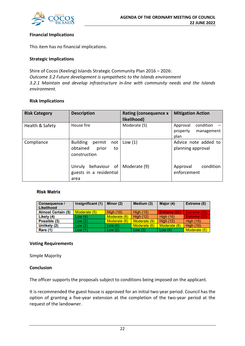

## **Financial Implications**

This item has no financial implications.

## **Strategic Implications**

Shire of Cocos (Keeling) Islands Strategic Community Plan 2016 – 2026: *Outcome 3.2 Future development is sympathetic to the Islands environment 3.2.1 Maintain and develop infrastructure in-line with community needs and the Islands environment.*

## **Risk Implications**

| <b>Risk Category</b> | <b>Description</b>                                                          | <b>Rating (consequence x</b><br>likelihood) | <b>Mitigation Action</b>                                |
|----------------------|-----------------------------------------------------------------------------|---------------------------------------------|---------------------------------------------------------|
| Health & Safety      | House fire                                                                  | Moderate (5)                                | condition<br>Approval<br>management<br>property<br>plan |
| Compliance           | <b>Building</b><br>permit<br>not<br>obtained<br>prior<br>to<br>construction | Low(1)                                      | Advice note added to<br>planning approval               |
|                      | behaviour of<br>Unruly<br>guests in a residential<br>area                   | Moderate (9)                                | condition<br>Approval<br>enforcement                    |

## **Risk Matrix**

| Consequence /<br><b>Likelihood</b> | Insignificant (1) | Minor (2)        | Medium (3)       | Major (4)        | <b>Extreme (5)</b> |
|------------------------------------|-------------------|------------------|------------------|------------------|--------------------|
| <b>Almost Certain (5)</b>          | Moderate (5)      | <b>High (10)</b> | <b>High (15)</b> | Extreme (20)     | Extreme (25)       |
| Likely (4)                         | Low(4)            | Moderate (8)     | <b>High (12)</b> | <b>High (16)</b> | Extreme (20)       |
| Possible (3)                       | Low(3)            | Moderate (6)     | Moderate (9)     | <b>High (12)</b> | <b>High (15)</b>   |
| Unlikely (2)                       | Low(2)            | Low $(4)$        | Moderate (6)     | Moderate (8)     | <b>High (10)</b>   |
| Rare (1)                           | Low(1)            | Low(2)           | Low $(3)$        | Low $(4)$        | Moderate (5)       |

## **Voting Requirements**

Simple Majority

## **Conclusion**

The officer supports the proposals subject to conditions being imposed on the applicant.

It is recommended the guest house is approved for an initial two-year period. Council has the option of granting a five-year extension at the completion of the two-year period at the request of the landowner.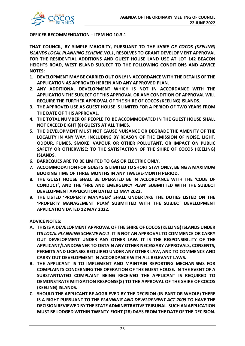

## **OFFICER RECOMMENDATION – ITEM NO 10.3.1**

**THAT COUNCIL, BY SIMPLE MAJORITY, PURSUANT TO THE** *SHIRE OF COCOS (KEELING) ISLANDS LOCAL PLANNING SCHEME NO.1***, RESOLVES TO GRANT DEVELOPMENT APPROVAL FOR THE RESIDENTIAL ADDITIONS AND GUEST HOUSE LAND USE AT LOT 142 BEACON HEIGHTS ROAD, WEST ISLAND SUBJECT TO THE FOLLOWING CONDITIONS AND ADVICE NOTES:** 

- **1. DEVELOPMENT MAY BE CARRIED OUT ONLY IN ACCORDANCE WITH THE DETAILS OF THE APPLICATION AS APPROVED HEREIN AND ANY APPROVED PLAN.**
- **2. ANY ADDITIONAL DEVELOPMENT WHICH IS NOT IN ACCORDANCE WITH THE APPLICATION THE SUBJECT OF THIS APPROVAL OR ANY CONDITION OF APPROVAL WILL REQUIRE THE FURTHER APPROVAL OF THE SHIRE OF COCOS (KEELING) ISLANDS.**
- **3. THE APPROVED USE AS GUEST HOUSE IS LIMITED FOR A PERIOD OF TWO YEARS FROM THE DATE OF THIS APPROVAL.**
- **4. THE TOTAL NUMBER OF PEOPLE TO BE ACCOMMODATED IN THE GUEST HOUSE SHALL NOT EXCEED EIGHT (8) GUESTS AT ALL TIMES.**
- **5. THE DEVELOPMENT MUST NOT CAUSE NUISANCE OR DEGRADE THE AMENITY OF THE LOCALITY IN ANY WAY, INCLUDING BY REASON OF THE EMISSION OF NOISE, LIGHT, ODOUR, FUMES, SMOKE, VAPOUR OR OTHER POLLUTANT, OR IMPACT ON PUBLIC SAFETY OR OTHERWISE; TO THE SATISFACTION OF THE SHIRE OF COCOS (KEELING) ISLANDS.**
- **6. BARBEQUES ARE TO BE LIMITED TO GAS OR ELECTRIC ONLY.**
- **7. ACCOMMODATION FOR GUESTS IS LIMITED TO SHORT STAY ONLY, BEING A MAXIMUM BOOKING TIME OF THREE MONTHS IN ANY TWELVE-MONTH PERIOD.**
- **8. THE GUEST HOUSE SHALL BE OPERATED BE IN ACCORDANCE WITH THE 'CODE OF CONDUCT', AND THE 'FIRE AND EMERGENCY PLAN' SUBMITTED WITH THE SUBJECT DEVELOPMENT APPLICATION DATED 12 MAY 2022.**
- **9. THE LISTED 'PROPERTY MANAGER' SHALL UNDERTAKE THE DUTIES LISTED ON THE 'PROPERTY MANAGEMENT PLAN' SUBMITTED WITH THE SUBJECT DEVELOPMENT APPLICATION DATED 12 MAY 2022.**

**ADVICE NOTES:** 

- **A. THIS IS A DEVELOPMENT APPROVAL OF THE SHIRE OF COCOS (KEELING) ISLANDS UNDER ITS** *LOCAL PLANNING SCHEME NO.1***. IT IS NOT AN APPROVAL TO COMMENCE OR CARRY OUT DEVELOPMENT UNDER ANY OTHER LAW. IT IS THE RESPONSIBILITY OF THE APPLICANT/LANDOWNER TO OBTAIN ANY OTHER NECESSARY APPROVALS, CONSENTS, PERMITS AND LICENSES REQUIRED UNDER ANY OTHER LAW, AND TO COMMENCE AND CARRY OUT DEVELOPMENT IN ACCORDANCE WITH ALL RELEVANT LAWS.**
- **B. THE APPLICANT IS TO IMPLEMENT AND MAINTAIN REPORTING MECHANISMS FOR COMPLAINTS CONCERNING THE OPERATION OF THE GUEST HOUSE. IN THE EVENT OF A SUBSTANTIATED COMPLAINT BEING RECEIVED THE APPLICANT IS REQUIRED TO DEMONSTRATE MITIGATION RESPONSE(S) TO THE APPROVAL OF THE SHIRE OF COCOS (KEELING) ISLANDS.**
- **C. SHOULD THE APPLICANT BE AGGRIEVED BY THE DECISION (IN PART OR WHOLE) THERE IS A RIGHT PURSUANT TO THE** *PLANNING AND DEVELOPMENT ACT 2005* **TO HAVE THE DECISION REVIEWED BY THE STATE ADMINISTRATIVE TRIBUNAL. SUCH AN APPLICATION MUST BE LODGED WITHIN TWENTY-EIGHT (28) DAYS FROM THE DATE OF THE DECISION.**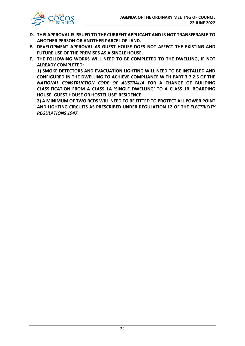

- **D. THIS APPROVAL IS ISSUED TO THE CURRENT APPLICANT AND IS NOT TRANSFERABLE TO ANOTHER PERSON OR ANOTHER PARCEL OF LAND.**
- **E. DEVELOPMENT APPROVAL AS GUEST HOUSE DOES NOT AFFECT THE EXISTING AND FUTURE USE OF THE PREMISES AS A SINGLE HOUSE.**
- **F. THE FOLLOWING WORKS WILL NEED TO BE COMPLETED TO THE DWELLING, IF NOT ALREADY COMPLETED:**

**1) SMOKE DETECTORS AND EVACUATION LIGHTING WILL NEED TO BE INSTALLED AND CONFIGURED IN THE DWELLING TO ACHIEVE COMPLIANCE WITH PART 3.7.2.5 OF THE**  *NATIONAL CONSTRUCTION CODE OF AUSTRALIA* **FOR A CHANGE OF BUILDING CLASSIFICATION FROM A CLASS 1A 'SINGLE DWELLING' TO A CLASS 1B 'BOARDING HOUSE, GUEST HOUSE OR HOSTEL USE' RESIDENCE.**

**2) A MINIMUM OF TWO RCDS WILL NEED TO BE FITTED TO PROTECT ALL POWER POINT AND LIGHTING CIRCUITS AS PRESCRIBED UNDER REGULATION 12 OF THE** *ELECTRICITY REGULATIONS 1947***.**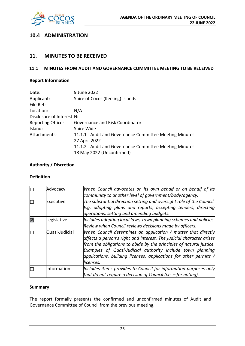

## **10.4 ADMINISTRATION**

## **11. MINUTES TO BE RECEIVED**

## **11.1 MINUTES FROM AUDIT AND GOVERNANCE COMMITTEE MEETING TO BE RECEIVED**

## **Report Information**

| Date:                       | 9 June 2022                                             |
|-----------------------------|---------------------------------------------------------|
| Applicant:                  | Shire of Cocos (Keeling) Islands                        |
| File Ref:                   |                                                         |
| Location:                   | N/A                                                     |
| Disclosure of Interest: Nil |                                                         |
| <b>Reporting Officer:</b>   | Governance and Risk Coordinator                         |
| Island:                     | Shire Wide                                              |
| Attachments:                | 11.1.1 - Audit and Governance Committee Meeting Minutes |
|                             | 27 April 2022                                           |
|                             | 11.1.2 - Audit and Governance Committee Meeting Minutes |
|                             | 18 May 2022 (Unconfirmed)                               |

## **Authority / Discretion**

## **Definition**

|   | Advocacy       | When Council advocates on its own behalf or on behalf of its<br>community to another level of government/body/agency.                                                                                                                                                                                                                                                    |
|---|----------------|--------------------------------------------------------------------------------------------------------------------------------------------------------------------------------------------------------------------------------------------------------------------------------------------------------------------------------------------------------------------------|
|   | Executive      | The substantial direction setting and oversight role of the Council.<br>E.g. adopting plans and reports, accepting tenders, directing<br>operations, setting and amending budgets.                                                                                                                                                                                       |
| X | Legislative    | Includes adopting local laws, town planning schemes and policies.<br>Review when Council reviews decisions made by officers.                                                                                                                                                                                                                                             |
|   | Quasi-Judicial | When Council determines an application / matter that directly<br>$ $ affects a person's right and interest. The judicial character arises<br>from the obligations to abide by the principles of natural justice.<br>Examples of Quasi-Judicial authority include town planning<br>applications, building licenses, applications for other permits $\Lambda$<br>licenses. |
|   | Information    | Includes items provides to Council for information purposes only<br>that do not require a decision of Council (i.e. $-$ for noting).                                                                                                                                                                                                                                     |

## **Summary**

The report formally presents the confirmed and unconfirmed minutes of Audit and Governance Committee of Council from the previous meeting.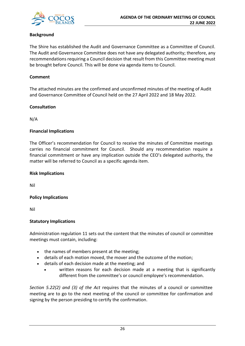

## **Background**

The Shire has established the Audit and Governance Committee as a Committee of Council. The Audit and Governance Committee does not have any delegated authority; therefore, any recommendations requiring a Council decision that result from this Committee meeting must be brought before Council. This will be done via agenda items to Council.

## **Comment**

The attached minutes are the confirmed and unconfirmed minutes of the meeting of Audit and Governance Committee of Council held on the 27 April 2022 and 18 May 2022.

## **Consultation**

N/A

## **Financial Implications**

The Officer's recommendation for Council to receive the minutes of Committee meetings carries no financial commitment for Council. Should any recommendation require a financial commitment or have any implication outside the CEO's delegated authority, the matter will be referred to Council as a specific agenda item.

## **Risk Implications**

Nil

## **Policy Implications**

Nil

## **Statutory Implications**

Administration regulation 11 sets out the content that the minutes of council or committee meetings must contain, including:

- the names of members present at the meeting;
- details of each motion moved, the mover and the outcome of the motion;
- details of each decision made at the meeting; and
	- written reasons for each decision made at a meeting that is significantly different from the committee's or council employee's recommendation.

*Section 5.22(2) and (3) of the Act* requires that the minutes of a council or committee meeting are to go to the next meeting of the council or committee for confirmation and signing by the person presiding to certify the confirmation.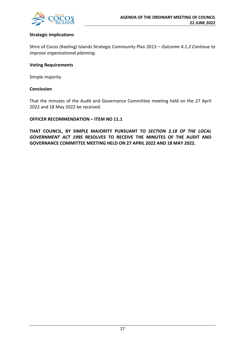

## **Strategic Implications**

Shire of Cocos (Keeling) Islands Strategic Community Plan 2013 *– Outcome 4.1.2 Continue to improve organisational planning.*

## **Voting Requirements**

Simple majority

## **Conclusion**

That the minutes of the Audit and Governance Committee meeting held on the 27 April 2022 and 18 May 2022 be received.

## **OFFICER RECOMMENDATION – ITEM NO 11.1**

**THAT COUNCIL, BY SIMPLE MAJORITY PURSUANT TO** *SECTION 3.18 OF THE LOCAL GOVERNMENT ACT 1995* **RESOLVES TO RECEIVE THE MINUTES OF THE AUDIT AND GOVERNANCE COMMITTEE MEETING HELD ON 27 APRIL 2022 AND 18 MAY 2022.**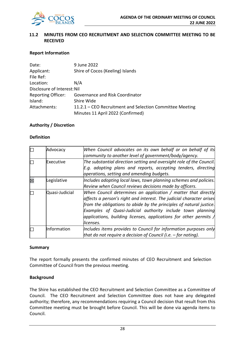

## **11.2 MINUTES FROM CEO RECRUITMENT AND SELECTION COMMITTEE MEETING TO BE RECEIVED**

## **Report Information**

| Date:                       | 9 June 2022                                              |
|-----------------------------|----------------------------------------------------------|
| Applicant:                  | Shire of Cocos (Keeling) Islands                         |
| File Ref:                   |                                                          |
| Location:                   | N/A                                                      |
| Disclosure of Interest: Nil |                                                          |
| <b>Reporting Officer:</b>   | Governance and Risk Coordinator                          |
| Island:                     | Shire Wide                                               |
| Attachments:                | 11.2.1 – CEO Recruitment and Selection Committee Meeting |
|                             | Minutes 11 April 2022 (Confirmed)                        |

## **Authority / Discretion**

## **Definition**

| Advocacy       | When Council advocates on its own behalf or on behalf of its              |
|----------------|---------------------------------------------------------------------------|
|                | community to another level of government/body/agency.                     |
| Executive      | The substantial direction setting and oversight role of the Council.      |
|                | E.g. adopting plans and reports, accepting tenders, directing             |
|                | operations, setting and amending budgets.                                 |
| Legislative    | Includes adopting local laws, town planning schemes and policies.         |
|                | Review when Council reviews decisions made by officers.                   |
| Quasi-Judicial | When Council determines an application / matter that directly             |
|                | affects a person's right and interest. The judicial character arises      |
|                | from the obligations to abide by the principles of natural justice.       |
|                | Examples of Quasi-Judicial authority include town planning                |
|                | applications, building licenses, applications for other permits $\Lambda$ |
|                | licenses.                                                                 |
| Information    | Includes items provides to Council for information purposes only          |
|                | that do not require a decision of Council (i.e. $-$ for noting).          |

#### **Summary**

The report formally presents the confirmed minutes of CEO Recruitment and Selection Committee of Council from the previous meeting.

## **Background**

The Shire has established the CEO Recruitment and Selection Committee as a Committee of Council. The CEO Recruitment and Selection Committee does not have any delegated authority; therefore, any recommendations requiring a Council decision that result from this Committee meeting must be brought before Council. This will be done via agenda items to Council.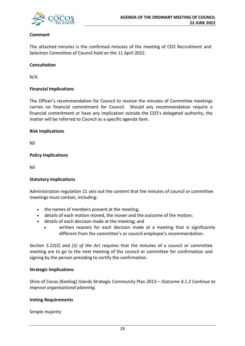

## **Comment**

The attached minutes is the confirmed minutes of the meeting of CEO Recruitment and Selection Committee of Council held on the 11 April 2022.

## **Consultation**

N/A

## **Financial Implications**

The Officer's recommendation for Council to receive the minutes of Committee meetings carries no financial commitment for Council. Should any recommendation require a financial commitment or have any implication outside the CEO's delegated authority, the matter will be referred to Council as a specific agenda item.

#### **Risk Implications**

Nil

## **Policy Implications**

Nil

#### **Statutory Implications**

Administration regulation 11 sets out the content that the minutes of council or committee meetings must contain, including:

- the names of members present at the meeting;
- details of each motion moved, the mover and the outcome of the motion;
- details of each decision made at the meeting; and
	- written reasons for each decision made at a meeting that is significantly different from the committee's or council employee's recommendation.

*Section 5.22(2) and (3) of the Act* requires that the minutes of a council or committee meeting are to go to the next meeting of the council or committee for confirmation and signing by the person presiding to certify the confirmation.

## **Strategic Implications**

Shire of Cocos (Keeling) Islands Strategic Community Plan 2013 *– Outcome 4.1.2 Continue to improve organisational planning.*

## **Voting Requirements**

Simple majority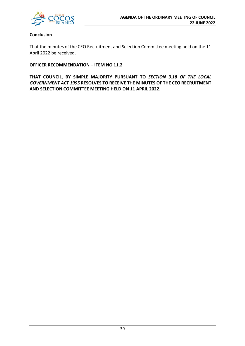

## **Conclusion**

That the minutes of the CEO Recruitment and Selection Committee meeting held on the 11 April 2022 be received.

**OFFICER RECOMMENDATION – ITEM NO 11.2**

**THAT COUNCIL, BY SIMPLE MAJORITY PURSUANT TO** *SECTION 3.18 OF THE LOCAL GOVERNMENT ACT 1995* **RESOLVES TO RECEIVE THE MINUTES OF THE CEO RECRUITMENT AND SELECTION COMMITTEE MEETING HELD ON 11 APRIL 2022.**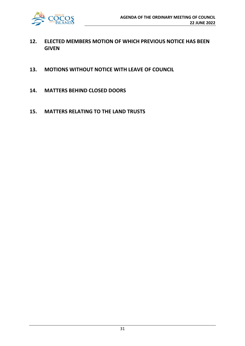

- **12. ELECTED MEMBERS MOTION OF WHICH PREVIOUS NOTICE HAS BEEN GIVEN**
- **13. MOTIONS WITHOUT NOTICE WITH LEAVE OF COUNCIL**
- **14. MATTERS BEHIND CLOSED DOORS**
- **15. MATTERS RELATING TO THE LAND TRUSTS**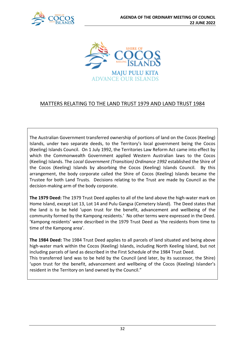



## MATTERS RELATING TO THE LAND TRUST 1979 AND LAND TRUST 1984

The Australian Government transferred ownership of portions of land on the Cocos (Keeling) Islands, under two separate deeds, to the Territory's local government being the Cocos (Keeling) Islands Council. On 1 July 1992, the Territories Law Reform Act came into effect by which the Commonwealth Government applied Western Australian laws to the Cocos (Keeling) Islands. The *Local Government (Transition) Ordinance 1992* established the Shire of the Cocos (Keeling) Islands by absorbing the Cocos (Keeling) Islands Council. By this arrangement, the body corporate called the Shire of Cocos (Keeling) Islands became the Trustee for both Land Trusts. Decisions relating to the Trust are made by Council as the decision-making arm of the body corporate.

**The 1979 Deed:** The 1979 Trust Deed applies to all of the land above the high-water mark on Home Island, except Lot 13, Lot 14 and Pulu Gangsa (Cemetery Island). The Deed states that the land is to be held 'upon trust for the benefit, advancement and wellbeing of the community formed by the Kampong residents.' No other terms were expressed in the Deed. 'Kampong residents' were described in the 1979 Trust Deed as 'the residents from time to time of the Kampong area'.

**The 1984 Deed:** The 1984 Trust Deed applies to all parcels of land situated and being above high-water mark within the Cocos (Keeling) Islands, including North Keeling Island, but not including parcels of land as described in the First Schedule of the 1984 Trust Deed. This transferred land was to be held by the Council (and later, by its successor, the Shire) 'upon trust for the benefit, advancement and wellbeing of the Cocos (Keeling) Islander's resident in the Territory on land owned by the Council."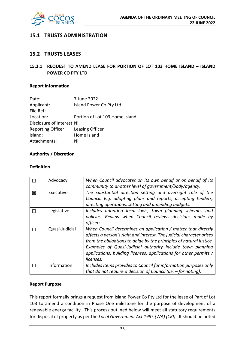

## **15.1 TRUSTS ADMINISTRATION**

## **15.2 TRUSTS LEASES**

## **15.2.1 REQUEST TO AMEND LEASE FOR PORTION OF LOT 103 HOME ISLAND – ISLAND POWER CO PTY LTD**

## **Report Information**

| 7 June 2022                        |
|------------------------------------|
| Island Power Co Pty Ltd            |
|                                    |
| Portion of Lot 103 Home Island     |
| Disclosure of Interest: Nil        |
| Reporting Officer: Leasing Officer |
| Home Island                        |
| Nil                                |
|                                    |

## **Authority / Discretion**

## **Definition**

|   | Advocacy       | When Council advocates on its own behalf or on behalf of its<br>community to another level of government/body/agency.                                                                                                                                                                                                                                        |
|---|----------------|--------------------------------------------------------------------------------------------------------------------------------------------------------------------------------------------------------------------------------------------------------------------------------------------------------------------------------------------------------------|
| 区 | Executive      | The substantial direction setting and oversight role of the<br>Council. E.g. adopting plans and reports, accepting tenders,<br>directing operations, setting and amending budgets.                                                                                                                                                                           |
|   | Legislative    | Includes adopting local laws, town planning schemes and<br>policies. Review when Council reviews decisions made by<br>officers.                                                                                                                                                                                                                              |
|   | Quasi-Judicial | When Council determines an application / matter that directly<br>affects a person's right and interest. The judicial character arises<br>from the obligations to abide by the principles of natural justice.<br>Examples of Quasi-Judicial authority include town planning<br>applications, building licenses, applications for other permits /<br>licenses. |
|   | Information    | Includes items provides to Council for information purposes only<br>that do not require a decision of Council (i.e. $-$ for noting).                                                                                                                                                                                                                         |

#### **Report Purpose**

This report formally brings a request from Island Power Co Pty Ltd for the lease of Part of Lot 103 to amend a condition in Phase One milestone for the purpose of development of a renewable energy facility. This process outlined below will meet all statutory requirements for disposal of property as per the *Local Government Act 1995 (WA) (CKI).* It should be noted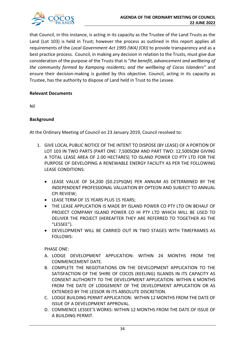

that Council, in this instance, is acting in its capacity as the Trustee of the Land Trusts as the Land (Lot 103) is held in Trust; however the process as outlined in this report applies all requirements of the *Local Government Act 1995 (WA) (CKI)* to provide transparency and as a best practice process. Council, in making any decision in relation to the Trusts, must give due consideration of the purpose of the Trusts that is "*the benefit, advancement and wellbeing of the community formed by Kampong residents; and the wellbeing of Cocos Islanders"* and ensure their decision-making is guided by this objective. Council, acting in its capacity as Trustee, has the authority to dispose of Land held in Trust to the Lessee.

## **Relevant Documents**

Nil

## **Background**

At the Ordinary Meeting of Council on 23 January 2019, Council resolved to:

- 1. GIVE LOCAL PUBLIC NOTICE OF THE INTENT TO DISPOSE (BY LEASE) OF A PORTION OF LOT 103 IN TWO PARTS (PART ONE: 7,500SQM AND PART TWO: 12,500SQM GIVING A TOTAL LEASE AREA OF 2.00 HECTARES) TO ISLAND POWER CO PTY LTD FOR THE PURPOSE OF DEVELOPING A RENEWABLE ENERGY FACILITY AS PER THE FOLLOWING LEASE CONDITIONS:
	- LEASE VALUE OF \$4,200 (\$0.21PSQM) PER ANNUM AS DETERMINED BY THE INDEPENDENT PROFESSIONAL VALUATION BY OPTEON AND SUBJECT TO ANNUAL CPI REVIEW;
	- LEASE TERM OF 15 YEARS PLUS 15 YEARS;
	- THE LEASE APPLICATION IS MADE BY ISLAND POWER CO PTY LTD ON BEHALF OF PROJECT COMPANY ISLAND POWER CO HI PTY LTD WHICH WILL BE USED TO DELIVER THE PROJECT (HEREAFTER THEY ARE REFERRED TO TOGETHER AS THE "LESSEE").
	- DEVELOPMENT WILL BE CARRIED OUT IN TWO STAGES WITH TIMEFRAMES AS FOLLOWS:

PHASE ONE:

- A. LODGE DEVELOPMENT APPLICATION: WITHIN 24 MONTHS FROM THE COMMENCEMENT DATE.
- B. COMPLETE THE NEGOTIATIONS ON THE DEVELOPMENT APPLICATION TO THE SATISFACTION OF THE SHIRE OF COCOS (KEELING) ISLANDS IN ITS CAPACITY AS CONSENT AUTHORITY TO THE DEVELOPMENT APPLICATION: WITHIN 6 MONTHS FROM THE DATE OF LODGEMENT OF THE DEVELOPMENT APPLICATION OR AS EXTENDED BY THE LESSOR IN ITS ABSOLUTE DISCRETION.
- C. LODGE BUILDING PERMIT APPLICATION: WITHIN 12 MONTHS FROM THE DATE OF ISSUE OF A DEVELOPMENT APPROVAL.
- D. COMMENCE LESSEE'S WORKS: WITHIN 12 MONTHS FROM THE DATE OF ISSUE OF A BUILDING PERMIT.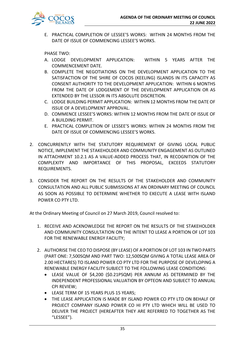

E. PRACTICAL COMPLETION OF LESSEE'S WORKS: WITHIN 24 MONTHS FROM THE DATE OF ISSUE OF COMMENCING LESSEE'S WORKS.

PHASE TWO:

- A. LODGE DEVELOPMENT APPLICATION: WITHIN 5 YEARS AFTER THE COMMENCEMENT DATE.
- B. COMPLETE THE NEGOTIATIONS ON THE DEVELOPMENT APPLICATION TO THE SATISFACTION OF THE SHIRE OF COCOS (KEELING) ISLANDS IN ITS CAPACITY AS CONSENT AUTHORITY TO THE DEVELOPMENT APPLICATION: WITHIN 6 MONTHS FROM THE DATE OF LODGEMENT OF THE DEVELOPMENT APPLICATION OR AS EXTENDED BY THE LESSOR IN ITS ABSOLUTE DISCRETION.
- C. LODGE BUILDING PERMIT APPLICATION: WITHIN 12 MONTHS FROM THE DATE OF ISSUE OF A DEVELOPMENT APPROVAL.
- D. COMMENCE LESSEE'S WORKS: WITHIN 12 MONTHS FROM THE DATE OF ISSUE OF A BUILDING PERMIT.
- E. PRACTICAL COMPLETION OF LESSEE'S WORKS: WITHIN 24 MONTHS FROM THE DATE OF ISSUE OF COMMENCING LESSEE'S WORKS.
- 2. CONCURRENTLY WITH THE STATUTORY REQUIREMENT OF GIVING LOCAL PUBLIC NOTICE, IMPLEMENT THE STAKEHOLDER AND COMMUNITY ENGAGEMENT AS OUTLINED IN ATTACHMENT 10.2.1 AS A VALUE-ADDED PROCESS THAT, IN RECOGNITION OF THE COMPLEXITY AND IMPORTANCE OF THIS PROPOSAL, EXCEEDS STATUTORY REQUIREMENTS.
- 3. CONSIDER THE REPORT ON THE RESULTS OF THE STAKEHOLDER AND COMMUNITY CONSULTATION AND ALL PUBLIC SUBMISSIONS AT AN ORDINARY MEETING OF COUNCIL AS SOON AS POSSIBLE TO DETERMINE WHETHER TO EXECUTE A LEASE WITH ISLAND POWER CO PTY LTD.

At the Ordinary Meeting of Council on 27 March 2019, Council resolved to:

- 1. RECEIVE AND ACKNOWLEDGE THE REPORT ON THE RESULTS OF THE STAKEHOLDER AND COMMUNITY CONSULTATION ON THE INTENT TO LEASE A PORTION OF LOT 103 FOR THE RENEWABLE ENERGY FACILITY;
- 2. AUTHORISE THE CEO TO DISPOSE (BY LEASE) OF A PORTION OF LOT 103 IN TWO PARTS (PART ONE: 7,500SQM AND PART TWO: 12,500SQM GIVING A TOTAL LEASE AREA OF 2.00 HECTARES) TO ISLAND POWER CO PTY LTD FOR THE PURPOSE OF DEVELOPING A RENEWABLE ENERGY FACILITY SUBJECT TO THE FOLLOWING LEASE CONDITIONS:
	- LEASE VALUE OF \$4,200 (\$0.21PSQM) PER ANNUM AS DETERMINED BY THE INDEPENDENT PROFESSIONAL VALUATION BY OPTEON AND SUBJECT TO ANNUAL CPI REVIEW;
	- LEASE TERM OF 15 YEARS PLUS 15 YEARS;
	- THE LEASE APPLICATION IS MADE BY ISLAND POWER CO PTY LTD ON BEHALF OF PROJECT COMPANY ISLAND POWER CO HI PTY LTD WHICH WILL BE USED TO DELIVER THE PROJECT (HEREAFTER THEY ARE REFERRED TO TOGETHER AS THE "LESSEE").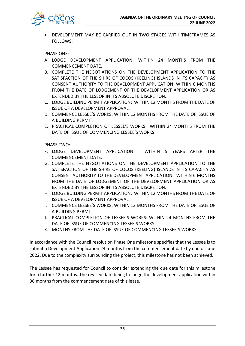

• DEVELOPMENT MAY BE CARRIED OUT IN TWO STAGES WITH TIMEFRAMES AS FOLLOWS:

PHASE ONE:

- A. LODGE DEVELOPMENT APPLICATION: WITHIN 24 MONTHS FROM THE COMMENCEMENT DATE.
- B. COMPLETE THE NEGOTIATIONS ON THE DEVELOPMENT APPLICATION TO THE SATISFACTION OF THE SHIRE OF COCOS (KEELING) ISLANDS IN ITS CAPACITY AS CONSENT AUTHORITY TO THE DEVELOPMENT APPLICATION: WITHIN 6 MONTHS FROM THE DATE OF LODGEMENT OF THE DEVELOPMENT APPLICATION OR AS EXTENDED BY THE LESSOR IN ITS ABSOLUTE DISCRETION.
- C. LODGE BUILDING PERMIT APPLICATION: WITHIN 12 MONTHS FROM THE DATE OF ISSUE OF A DEVELOPMENT APPROVAL.
- D. COMMENCE LESSEE'S WORKS: WITHIN 12 MONTHS FROM THE DATE OF ISSUE OF A BUILDING PERMIT.
- E. PRACTICAL COMPLETION OF LESSEE'S WORKS: WITHIN 24 MONTHS FROM THE DATE OF ISSUE OF COMMENCING LESSEE'S WORKS.

PHASE TWO:

- F. LODGE DEVELOPMENT APPLICATION: WITHIN 5 YEARS AFTER THE COMMENCEMENT DATE.
- G. COMPLETE THE NEGOTIATIONS ON THE DEVELOPMENT APPLICATION TO THE SATISFACTION OF THE SHIRE OF COCOS (KEELING) ISLANDS IN ITS CAPACITY AS CONSENT AUTHORITY TO THE DEVELOPMENT APPLICATION: WITHIN 6 MONTHS FROM THE DATE OF LODGEMENT OF THE DEVELOPMENT APPLICATION OR AS EXTENDED BY THE LESSOR IN ITS ABSOLUTE DISCRETION.
- H. LODGE BUILDING PERMIT APPLICATION: WITHIN 12 MONTHS FROM THE DATE OF ISSUE OF A DEVELOPMENT APPROVAL.
- I. COMMENCE LESSEE'S WORKS: WITHIN 12 MONTHS FROM THE DATE OF ISSUE OF A BUILDING PERMIT.
- J. PRACTICAL COMPLETION OF LESSEE'S WORKS: WITHIN 24 MONTHS FROM THE DATE OF ISSUE OF COMMENCING LESSEE'S WORKS.
- K. MONTHS FROM THE DATE OF ISSUE OF COMMENCING LESSEE'S WORKS.

In accordance with the Council resolution Phase One milestone specifies that the Lessee is to submit a Development Application 24 months from the commencement date by end of June 2022. Due to the complexity surrounding the project, this milestone has not been achieved.

The Lessee has requested for Council to consider extending the due date for this milestone for a further 12 months. The revised date being to lodge the development application within 36 months from the commencement date of this lease.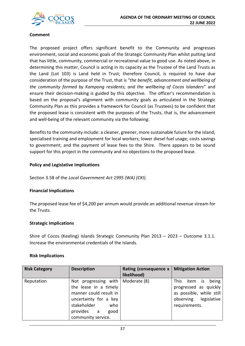

## **Comment**

The proposed project offers significant benefit to the Community and progresses environment, social and economic goals of the Strategic Community Plan whilst putting land that has little, community, commercial or recreational value to good use. As noted above, in determining this matter, Council is acting in its capacity as the Trustee of the Land Trusts as the Land (Lot 103) is Land held in Trust; therefore Council, is required to have due consideration of the purpose of the Trust, that is "*the benefit, advancement and wellbeing of the community formed by Kampong residents; and the wellbeing of Cocos Islanders*" and ensure their decision-making is guided by this objective. The officer's recommendation is based on the proposal's alignment with community goals as articulated in the Strategic Community Plan as this provides a framework for Council (as Trustees) to be confident that the proposed lease is consistent with the purposes of the Trusts, that is, the advancement and well-being of the relevant community via the following:

Benefits to the community include: a cleaner, greener, more sustainable future for the island; specialised training and employment for local workers; lower diesel fuel usage; costs savings to government; and the payment of lease fees to the Shire. There appears to be sound support for this project in the community and no objections to the proposed lease.

## **Policy and Legislative Implications**

Section 3.58 of the *Local Government Act 1995 (WA) (CKI)*.

## **Financial Implications**

The proposed lease fee of \$4,200 per annum would provide an additional revenue stream for the Trusts.

## **Strategic Implications**

Shire of Cocos (Keeling) Islands Strategic Community Plan 2013 – 2023 – Outcome 3.1.1. Increase the environmental credentials of the Islands.

## **Risk Implications**

| <b>Risk Category</b> | <b>Description</b>                                                                                                                                                    | Rating (consequence x<br>likelihood) | <b>Mitigation Action</b>                                                                                                    |
|----------------------|-----------------------------------------------------------------------------------------------------------------------------------------------------------------------|--------------------------------------|-----------------------------------------------------------------------------------------------------------------------------|
| Reputation           | Not progressing with<br>the lease in a timely<br>manner could result in<br>uncertainty for a key<br>stakeholder<br>who<br>provides<br>good<br>a<br>community service. | Moderate (8)                         | This<br>being<br>item<br>İS.<br>progressed as quickly<br>as possible, while still<br>observing legislative<br>requirements. |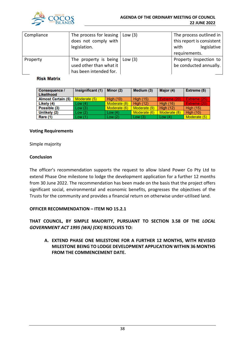

| Compliance | The process for leasing           | $\vert$ Low (3) | The process outlined in   |  |
|------------|-----------------------------------|-----------------|---------------------------|--|
|            | does not comply with              |                 | this report is consistent |  |
|            | legislation.                      |                 | legislative<br>with       |  |
|            |                                   |                 | requirements.             |  |
| Property   | The property is being $ $ Low (3) |                 | Property inspection to    |  |
|            | used other than what it           |                 | be conducted annually.    |  |
|            | has been intended for.            |                 |                           |  |

## **Risk Matrix**

| <b>Consequence /</b><br><b>Likelihood</b> | Insignificant (1) | Minor (2)        | Medium (3)       | Major (4)        | Extreme (5)      |
|-------------------------------------------|-------------------|------------------|------------------|------------------|------------------|
| <b>Almost Certain (5)</b>                 | Moderate (5)      | <b>High (10)</b> | <b>High (15)</b> | Extreme (20)     | Extreme (25)     |
| Likely (4)                                | Low(4)            | Moderate (8)     | <b>High (12)</b> | <b>High (16)</b> | Extreme (20)     |
| Possible (3)                              | Low(3)            | Moderate (6)     | Moderate (9)     | <b>High (12)</b> | <b>High (15)</b> |
| Unlikely (2)                              | Low(2)            | Low $(4)$        | Moderate (6)     | Moderate (8)     | <b>High (10)</b> |
| Rare (1)                                  | Low(1)            | Low $(2)$        | Low(3)           | Low $(4)$        | Moderate (5)     |

## **Voting Requirements**

Simple majority

## **Conclusion**

The officer's recommendation supports the request to allow Island Power Co Pty Ltd to extend Phase One milestone to lodge the development application for a further 12 months from 30 June 2022. The recommendation has been made on the basis that the project offers significant social, environmental and economic benefits, progresses the objectives of the Trusts for the community and provides a financial return on otherwise under-utilised land.

## **OFFICER RECOMMENDATION – ITEM NO 15.2.1**

**THAT COUNCIL, BY SIMPLE MAJORITY, PURSUANT TO SECTION 3.58 OF THE** *LOCAL GOVERNMENT ACT 1995 (WA) (CKI)* **RESOLVES TO:**

**A. EXTEND PHASE ONE MILESTONE FOR A FURTHER 12 MONTHS, WITH REVISED MILESTONE BEING TO LODGE DEVELOPMENT APPLICATION WITHIN 36 MONTHS FROM THE COMMENCEMENT DATE.**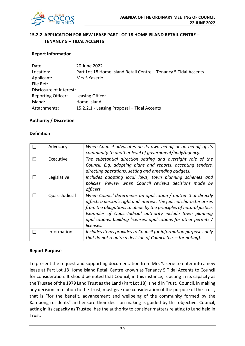

## **15.2.2 APPLICATION FOR NEW LEASE PART LOT 18 HOME ISLAND RETAIL CENTRE – TENANCY 5 – TIDAL ACCENTS**

## **Report Information**

| Date:                     | 20 June 2022                                                    |
|---------------------------|-----------------------------------------------------------------|
| Location:                 | Part Lot 18 Home Island Retail Centre - Tenancy 5 Tidal Accents |
| Applicant:                | Mrs S Yaserie                                                   |
| File Ref:                 |                                                                 |
| Disclosure of Interest:   |                                                                 |
| <b>Reporting Officer:</b> | Leasing Officer                                                 |
| Island:                   | Home Island                                                     |
| Attachments:              | 15.2.2.1 - Leasing Proposal - Tidal Accents                     |

## **Authority / Discretion**

#### **Definition**

|   | Advocacy       | When Council advocates on its own behalf or on behalf of its<br>community to another level of government/body/agency. |
|---|----------------|-----------------------------------------------------------------------------------------------------------------------|
|   |                |                                                                                                                       |
| X | Executive      | The substantial direction setting and oversight role of the                                                           |
|   |                | Council. E.g. adopting plans and reports, accepting tenders,                                                          |
|   |                | directing operations, setting and amending budgets.                                                                   |
|   | Legislative    | Includes adopting local laws, town planning schemes and                                                               |
|   |                | policies. Review when Council reviews decisions made by                                                               |
|   |                | officers.                                                                                                             |
|   | Quasi-Judicial | When Council determines an application / matter that directly                                                         |
|   |                | affects a person's right and interest. The judicial character arises                                                  |
|   |                | from the obligations to abide by the principles of natural justice.                                                   |
|   |                | Examples of Quasi-Judicial authority include town planning                                                            |
|   |                | applications, building licenses, applications for other permits /                                                     |
|   |                | licenses.                                                                                                             |
|   | Information    | Includes items provides to Council for information purposes only                                                      |
|   |                | that do not require a decision of Council (i.e. $-$ for noting).                                                      |

## **Report Purpose**

To present the request and supporting documentation from Mrs Yaserie to enter into a new lease at Part Lot 18 Home Island Retail Centre known as Tenancy 5 Tidal Accents to Council for consideration. It should be noted that Council, in this instance, is acting in its capacity as the Trustee of the 1979 Land Trust as the Land (Part Lot 18) is held in Trust. Council, in making any decision in relation to the Trust, must give due consideration of the purpose of the Trust, that is "for the benefit, advancement and wellbeing of the community formed by the Kampong residents" and ensure their decision-making is guided by this objective. Council, acting in its capacity as Trustee, has the authority to consider matters relating to Land held in Trust.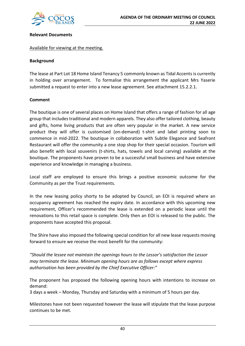

## **Relevant Documents**

#### Available for viewing at the meeting.

## **Background**

The lease at Part Lot 18 Home Island Tenancy 5 commonly known as Tidal Accents is currently in holding over arrangement. To formalise this arrangement the applicant Mrs Yaserie submitted a request to enter into a new lease agreement. See attachment 15.2.2.1.

## **Comment**

The boutique is one of several places on Home Island that offers a range of fashion for all age group that includes traditional and modern apparels. They also offer tailored clothing, beauty and gifts, home living products that are often very popular in the market. A new service product they will offer is customised (on-demand) t-shirt and label printing soon to commence in mid-2022. The boutique in collaboration with Subtle Elegance and Seafront Restaurant will offer the community a one stop shop for their special occasion. Tourism will also benefit with local souvenirs (t-shirts, hats, towels and local carving) available at the boutique. The proponents have proven to be a successful small business and have extensive experience and knowledge in managing a business.

Local staff are employed to ensure this brings a positive economic outcome for the Community as per the Trust requirements.

In the new leasing policy shorty to be adopted by Council, an EOI is required where an occupancy agreement has reached the expiry date. In accordance with this upcoming new requirement, Officer's recommended the lease is extended on a periodic lease until the renovations to this retail space is complete. Only then an EOI is released to the public. The proponents have accepted this proposal.

The Shire have also imposed the following special condition for all new lease requests moving forward to ensure we receive the most benefit for the community:

*"Should the lessee not maintain the openings hours to the Lessor's satisfaction the Lessor may terminate the lease. Minimum opening hours are as follows except where express authorisation has been provided by the Chief Executive Officer:"*

The proponent has proposed the following opening hours with intentions to increase on demand:

3 days a week – Monday, Thursday and Saturday with a minimum of 5 hours per day.

Milestones have not been requested however the lease will stipulate that the lease purpose continues to be met.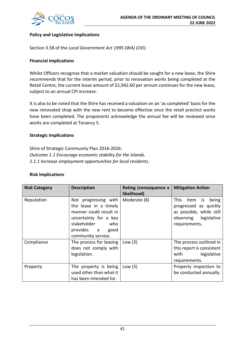

## **Policy and Legislative Implications**

Section 3.58 of the *Local Government Act 1995 (WA) (CKI)*.

## **Financial Implications**

Whilst Officers recognise that a market valuation should be sought for a new lease, the Shire recommends that for the interim period, prior to renovation works being completed at the Retail Centre, the current lease amount of \$1,942.60 per annum continues for the new lease, subject to an annual CPI increase.

It is also to be noted that the Shire has received a valuation on an 'as completed' basis for the new renovated shop with the new rent to become effective once the retail precinct works have been completed. The proponents acknowledge the annual fee will be reviewed once works are completed at Tenancy 5.

## **Strategic Implications**

Shire of Strategic Community Plan 2016-2026: *Outcome 1.1 Encourage economic stability for the Islands. 1.1.1 Increase employment opportunities for local residents.*

#### **Risk Implications**

| <b>Risk Category</b> | <b>Description</b>                                                                                                                                                 | Rating (consequence x<br>likelihood) | <b>Mitigation Action</b>                                                                                                  |  |
|----------------------|--------------------------------------------------------------------------------------------------------------------------------------------------------------------|--------------------------------------|---------------------------------------------------------------------------------------------------------------------------|--|
| Reputation           | Not progressing with<br>the lease in a timely<br>manner could result in<br>uncertainty for a key<br>stakeholder<br>who<br>provides a<br>good<br>community service. | Moderate (8)                         | This l<br>item is<br>being<br>progressed as quickly<br>as possible, while still<br>observing legislative<br>requirements. |  |
| Compliance           | The process for leasing<br>does not comply with<br>legislation.                                                                                                    | Low $(3)$                            | The process outlined in<br>this report is consistent<br>legislative<br>with<br>requirements.                              |  |
| Property             | The property is being<br>used other than what it<br>has been intended for.                                                                                         | Low $(3)$                            | Property inspection to<br>be conducted annually.                                                                          |  |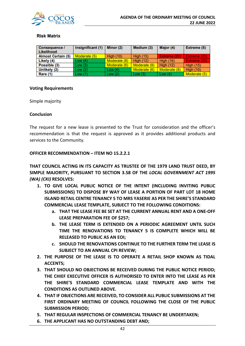

## **Risk Matrix**

| <b>Consequence /</b><br>Likelihood | Insignificant (1) | Minor (2)    | Medium (3)       | Major (4)        | Extreme (5)      |
|------------------------------------|-------------------|--------------|------------------|------------------|------------------|
| <b>Almost Certain (5)</b>          | Moderate (5)      | High $(10)$  | <b>High (15)</b> | Extreme (20)     | Extreme (25)     |
| Likely (4)                         | Low(4)            | Moderate (8) | <b>High (12)</b> | <b>High (16)</b> | Extreme (20)     |
| Possible (3)                       | Low(3)            | Moderate (6) | Moderate (9)     | High $(12)$      | <b>High (15)</b> |
| Unlikely (2)                       | Low(2)            | Low $(4)$    | Moderate (6)     | Moderate (8)     | <b>High (10)</b> |
| Rare (1)                           | Low(1)            | Low $(2)$    | Low(3)           | Low $(4)$        | Moderate (5)     |

## **Voting Requirements**

Simple majority

## **Conclusion**

The request for a new lease is presented to the Trust for consideration and the officer's recommendation is that the request is approved as it provides additional products and services to the Community.

## **OFFICER RECOMMENDATION – ITEM NO 15.2.2.1**

**THAT COUNCIL ACTING IN ITS CAPACITY AS TRUSTEE OF THE 1979 LAND TRUST DEED, BY SIMPLE MAJORITY, PURSUANT TO SECTION 3.58 OF THE** *LOCAL GOVERNMENT ACT 1995 (WA) (CKI)* **RESOLVES:**

- **1. TO GIVE LOCAL PUBLIC NOTICE OF THE INTENT (INCLUDING INVITING PUBLIC SUBMISSIONS) TO DISPOSE BY WAY OF LEASE A PORTION OF PART LOT 18 HOME ISLAND RETAIL CENTRE TENANCY 5 TO MRS YASERIE AS PER THE SHIRE'S STANDARD COMMERCIAL LEASE TEMPLATE, SUBJECT TO THE FOLLOWING CONDITIONS:**
	- **a. THAT THE LEASE FEE BE SET AT THE CURRENT ANNUAL RENT AND A ONE-OFF LEASE PREPARATION FEE OF \$257;**
	- **b. THE LEASE TERM IS EXTENDED ON A PERIODIC AGREEMENT UNTIL SUCH TIME THE RENOVATIONS TO TENANCY 5 IS COMPLETE WHICH WILL BE RELEASED TO PUBLIC AS AN EOI;**
	- **c. SHOULD THE RENOVATIONS CONTINUE TO THE FURTHER TERM THE LEASE IS SUBJECT TO AN ANNUAL CPI REVIEW;**
- **2. THE PURPOSE OF THE LEASE IS TO OPERATE A RETAIL SHOP KNOWN AS TIDAL ACCENTS;**
- **3. THAT SHOULD NO OBJECTIONS BE RECEIVED DURING THE PUBLIC NOTICE PERIOD; THE CHIEF EXECUTIVE OFFICER IS AUTHORISED TO ENTER INTO THE LEASE AS PER THE SHIRE'S STANDARD COMMERCIAL LEASE TEMPLATE AND WITH THE CONDITIONS AS OUTLINED ABOVE.**
- **4. THAT IF OBJECTIONS ARE RECEIVED, TO CONSIDER ALL PUBLIC SUBMISSIONS AT THE FIRST ORDINARY MEETING OF COUNCIL FOLLOWING THE CLOSE OF THE PUBLIC SUBMISSION PERIOD;**
- **5. THAT REGULAR INSPECTIONS OF COMMERCIAL TENANCY BE UNDERTAKEN;**
- **6. THE APPLICANT HAS NO OUTSTANDING DEBT AND;**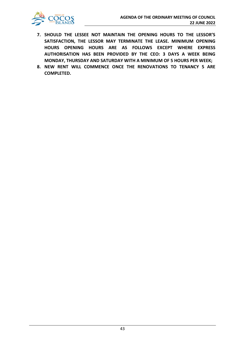

- **7. SHOULD THE LESSEE NOT MAINTAIN THE OPENING HOURS TO THE LESSOR'S SATISFACTION, THE LESSOR MAY TERMINATE THE LEASE. MINIMUM OPENING HOURS OPENING HOURS ARE AS FOLLOWS EXCEPT WHERE EXPRESS AUTHORISATION HAS BEEN PROVIDED BY THE CEO: 3 DAYS A WEEK BEING MONDAY, THURSDAY AND SATURDAY WITH A MINIMUM OF 5 HOURS PER WEEK;**
- **8. NEW RENT WILL COMMENCE ONCE THE RENOVATIONS TO TENANCY 5 ARE COMPLETED.**